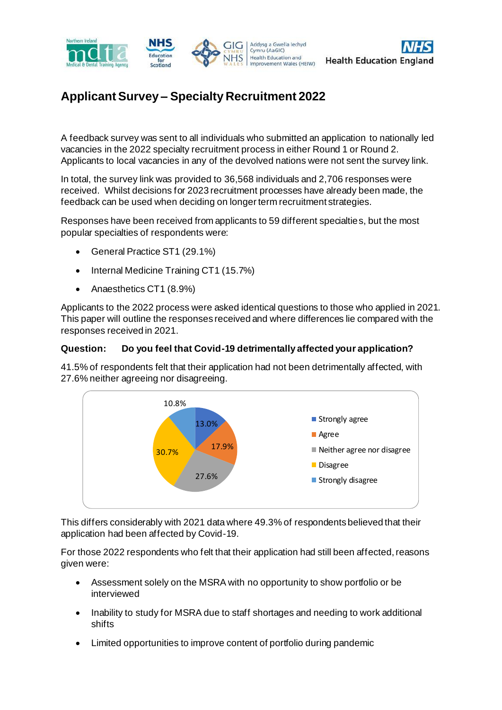



# **Applicant Survey – Specialty Recruitment 2022**

A feedback survey was sent to all individuals who submitted an application to nationally led vacancies in the 2022 specialty recruitment process in either Round 1 or Round 2. Applicants to local vacancies in any of the devolved nations were not sent the survey link.

In total, the survey link was provided to 36,568 individuals and 2,706 responses were received. Whilst decisions for 2023 recruitment processes have already been made, the feedback can be used when deciding on longer term recruitment strategies.

Responses have been received from applicants to 59 different specialties, but the most popular specialties of respondents were:

- General Practice ST1 (29.1%)
- Internal Medicine Training CT1 (15.7%)
- Anaesthetics CT1 (8.9%)

Applicants to the 2022 process were asked identical questions to those who applied in 2021. This paper will outline the responses received and where differences lie compared with the responses received in 2021.

## **Question: Do you feel that Covid-19 detrimentally affected your application?**

41.5% of respondents felt that their application had not been detrimentally affected, with 27.6% neither agreeing nor disagreeing.



This differs considerably with 2021 data where 49.3% of respondents believed that their application had been affected by Covid-19.

For those 2022 respondents who felt that their application had still been affected, reasons given were:

- Assessment solely on the MSRA with no opportunity to show portfolio or be interviewed
- Inability to study for MSRA due to staff shortages and needing to work additional shifts
- Limited opportunities to improve content of portfolio during pandemic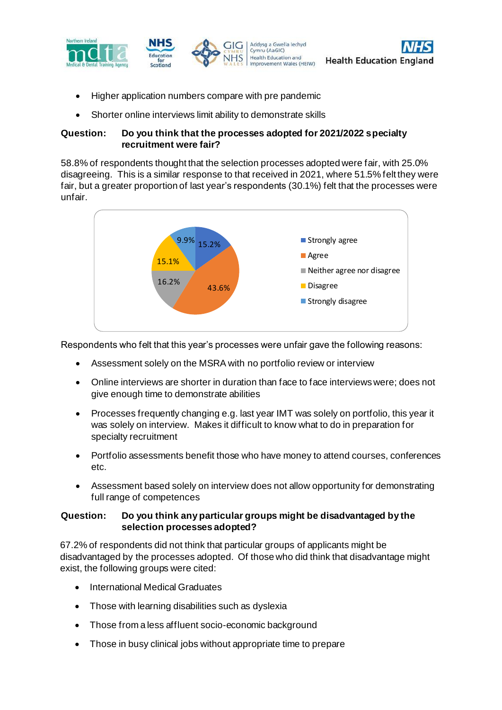



• Shorter online interviews limit ability to demonstrate skills

### **Question: Do you think that the processes adopted for 2021/2022 specialty recruitment were fair?**

58.8% of respondents thought that the selection processes adopted were fair, with 25.0% disagreeing. This is a similar response to that received in 2021, where 51.5% felt they were fair, but a greater proportion of last year's respondents (30.1%) felt that the processes were unfair.



Respondents who felt that this year's processes were unfair gave the following reasons:

- Assessment solely on the MSRA with no portfolio review or interview
- Online interviews are shorter in duration than face to face interviews were; does not give enough time to demonstrate abilities
- Processes frequently changing e.g. last year IMT was solely on portfolio, this year it was solely on interview. Makes it difficult to know what to do in preparation for specialty recruitment
- Portfolio assessments benefit those who have money to attend courses, conferences etc.
- Assessment based solely on interview does not allow opportunity for demonstrating full range of competences

#### **Question: Do you think any particular groups might be disadvantaged by the selection processes adopted?**

67.2% of respondents did not think that particular groups of applicants might be disadvantaged by the processes adopted. Of those who did think that disadvantage might exist, the following groups were cited:

- International Medical Graduates
- Those with learning disabilities such as dyslexia
- Those from a less affluent socio-economic background
- Those in busy clinical jobs without appropriate time to prepare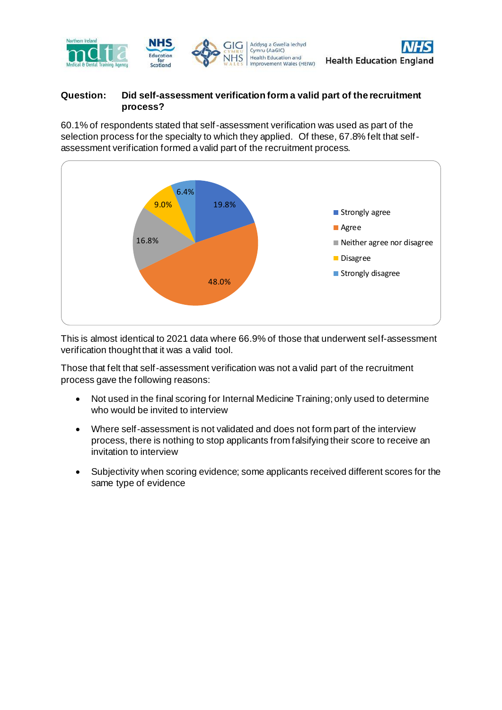

## **Question: Did self-assessment verification form a valid part of the recruitment process?**

60.1% of respondents stated that self-assessment verification was used as part of the selection process for the specialty to which they applied. Of these, 67.8% felt that selfassessment verification formed a valid part of the recruitment process.



This is almost identical to 2021 data where 66.9% of those that underwent self-assessment verification thought that it was a valid tool.

Those that felt that self-assessment verification was not a valid part of the recruitment process gave the following reasons:

- Not used in the final scoring for Internal Medicine Training; only used to determine who would be invited to interview
- Where self-assessment is not validated and does not form part of the interview process, there is nothing to stop applicants from falsifying their score to receive an invitation to interview
- Subjectivity when scoring evidence; some applicants received different scores for the same type of evidence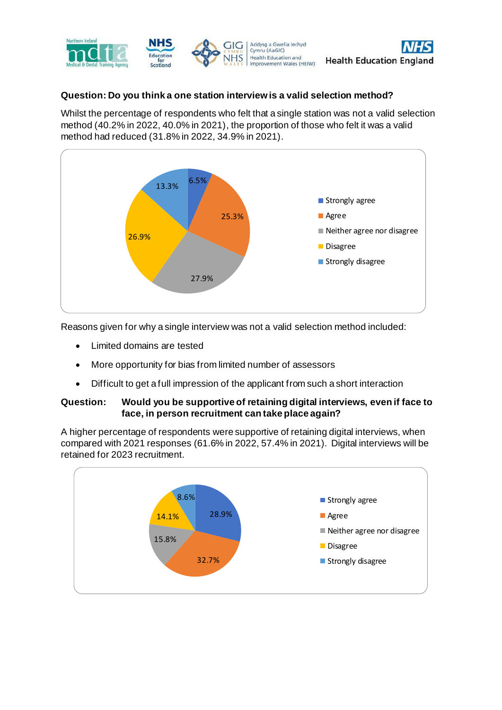

## **Question: Do you think a one station interview is a valid selection method?**

Whilst the percentage of respondents who felt that a single station was not a valid selection method (40.2% in 2022, 40.0% in 2021), the proportion of those who felt it was a valid method had reduced (31.8% in 2022, 34.9% in 2021).



Reasons given for why a single interview was not a valid selection method included:

- Limited domains are tested
- More opportunity for bias from limited number of assessors
- Difficult to get a full impression of the applicant from such a short interaction

#### **Question: Would you be supportive of retaining digital interviews, even if face to face, in person recruitment can take place again?**

A higher percentage of respondents were supportive of retaining digital interviews, when compared with 2021 responses (61.6% in 2022, 57.4% in 2021). Digital interviews will be retained for 2023 recruitment.

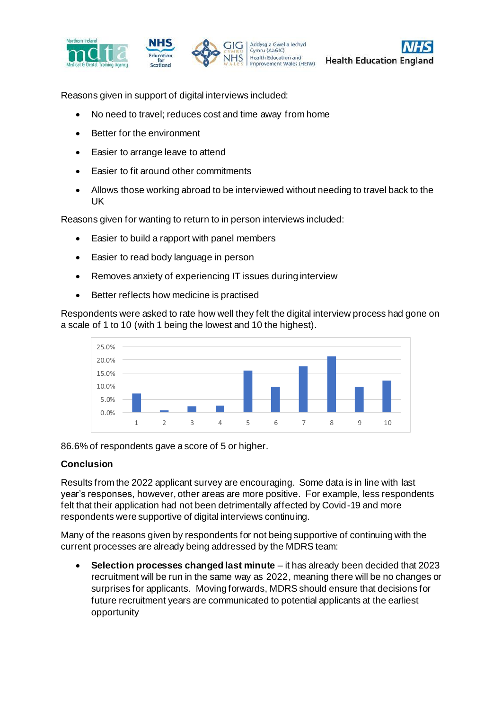



Reasons given in support of digital interviews included:

- No need to travel; reduces cost and time away from home
- Better for the environment
- Easier to arrange leave to attend
- Easier to fit around other commitments
- Allows those working abroad to be interviewed without needing to travel back to the UK

Reasons given for wanting to return to in person interviews included:

- Easier to build a rapport with panel members
- Easier to read body language in person
- Removes anxiety of experiencing IT issues during interview
- Better reflects how medicine is practised

Respondents were asked to rate how well they felt the digital interview process had gone on a scale of 1 to 10 (with 1 being the lowest and 10 the highest).



86.6% of respondents gave a score of 5 or higher.

#### **Conclusion**

Results from the 2022 applicant survey are encouraging. Some data is in line with last year's responses, however, other areas are more positive. For example, less respondents felt that their application had not been detrimentally affected by Covid-19 and more respondents were supportive of digital interviews continuing.

Many of the reasons given by respondents for not being supportive of continuing with the current processes are already being addressed by the MDRS team:

• **Selection processes changed last minute** – it has already been decided that 2023 recruitment will be run in the same way as 2022, meaning there will be no changes or surprises for applicants. Moving forwards, MDRS should ensure that decisions for future recruitment years are communicated to potential applicants at the earliest opportunity